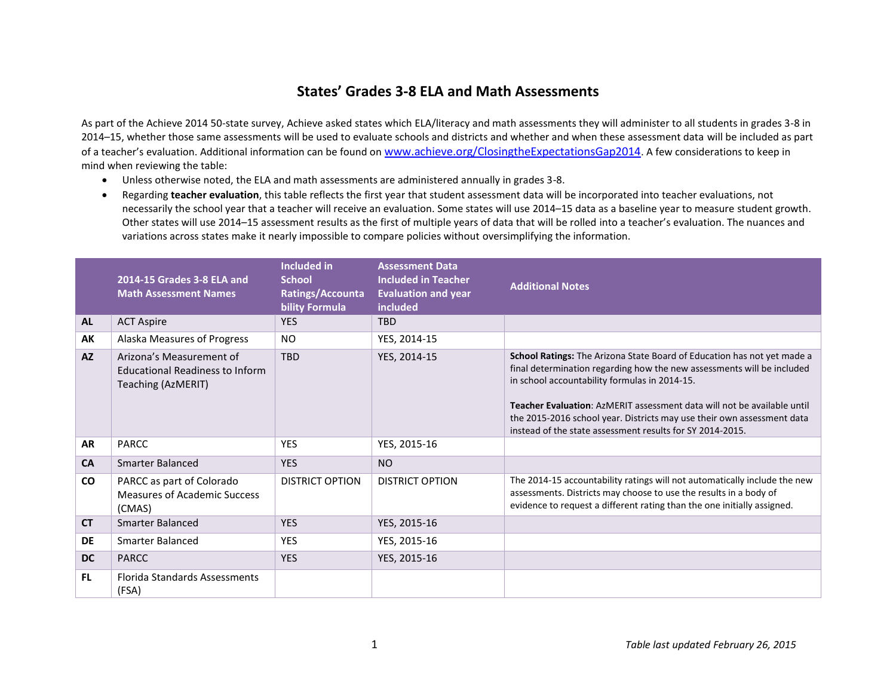## **States' Grades 3-8 ELA and Math Assessments**

As part of the Achieve 2014 50-state survey, Achieve asked states which ELA/literacy and math assessments they will administer to all students in grades 3-8 in 2014–15, whether those same assessments will be used to evaluate schools and districts and whether and when these assessment data will be included as part of a teacher's evaluation. Additional information can be found on [www.achieve.org/ClosingtheExpectationsGap2014](http://www.achieve.org/ClosingtheExpectationsGap2014). A few considerations to keep in mind when reviewing the table:

- Unless otherwise noted, the ELA and math assessments are administered annually in grades 3-8.
- Regarding **teacher evaluation**, this table reflects the first year that student assessment data will be incorporated into teacher evaluations, not necessarily the school year that a teacher will receive an evaluation. Some states will use 2014–15 data as a baseline year to measure student growth. Other states will use 2014–15 assessment results as the first of multiple years of data that will be rolled into a teacher's evaluation. The nuances and variations across states make it nearly impossible to compare policies without oversimplifying the information.

|           | 2014-15 Grades 3-8 ELA and<br><b>Math Assessment Names</b>                        | <b>Included in</b><br><b>School</b><br>Ratings/Accounta<br>bility Formula | <b>Assessment Data</b><br><b>Included in Teacher</b><br><b>Evaluation and year</b><br>included | <b>Additional Notes</b>                                                                                                                                                                                                                                                                                                                                                                                              |
|-----------|-----------------------------------------------------------------------------------|---------------------------------------------------------------------------|------------------------------------------------------------------------------------------------|----------------------------------------------------------------------------------------------------------------------------------------------------------------------------------------------------------------------------------------------------------------------------------------------------------------------------------------------------------------------------------------------------------------------|
| <b>AL</b> | <b>ACT Aspire</b>                                                                 | <b>YES</b>                                                                | <b>TBD</b>                                                                                     |                                                                                                                                                                                                                                                                                                                                                                                                                      |
| АK        | Alaska Measures of Progress                                                       | N <sub>O</sub>                                                            | YES, 2014-15                                                                                   |                                                                                                                                                                                                                                                                                                                                                                                                                      |
| <b>AZ</b> | Arizona's Measurement of<br>Educational Readiness to Inform<br>Teaching (AzMERIT) | <b>TBD</b>                                                                | YES, 2014-15                                                                                   | School Ratings: The Arizona State Board of Education has not yet made a<br>final determination regarding how the new assessments will be included<br>in school accountability formulas in 2014-15.<br>Teacher Evaluation: AzMERIT assessment data will not be available until<br>the 2015-2016 school year. Districts may use their own assessment data<br>instead of the state assessment results for SY 2014-2015. |
| <b>AR</b> | PARCC                                                                             | <b>YES</b>                                                                | YES, 2015-16                                                                                   |                                                                                                                                                                                                                                                                                                                                                                                                                      |
| <b>CA</b> | <b>Smarter Balanced</b>                                                           | <b>YES</b>                                                                | <b>NO</b>                                                                                      |                                                                                                                                                                                                                                                                                                                                                                                                                      |
| <b>CO</b> | PARCC as part of Colorado<br>Measures of Academic Success<br>(CMAS)               | <b>DISTRICT OPTION</b>                                                    | <b>DISTRICT OPTION</b>                                                                         | The 2014-15 accountability ratings will not automatically include the new<br>assessments. Districts may choose to use the results in a body of<br>evidence to request a different rating than the one initially assigned.                                                                                                                                                                                            |
| <b>CT</b> | Smarter Balanced                                                                  | <b>YES</b>                                                                | YES, 2015-16                                                                                   |                                                                                                                                                                                                                                                                                                                                                                                                                      |
| DE        | <b>Smarter Balanced</b>                                                           | <b>YES</b>                                                                | YES, 2015-16                                                                                   |                                                                                                                                                                                                                                                                                                                                                                                                                      |
| <b>DC</b> | <b>PARCC</b>                                                                      | <b>YES</b>                                                                | YES, 2015-16                                                                                   |                                                                                                                                                                                                                                                                                                                                                                                                                      |
| FL.       | <b>Florida Standards Assessments</b><br>(FSA)                                     |                                                                           |                                                                                                |                                                                                                                                                                                                                                                                                                                                                                                                                      |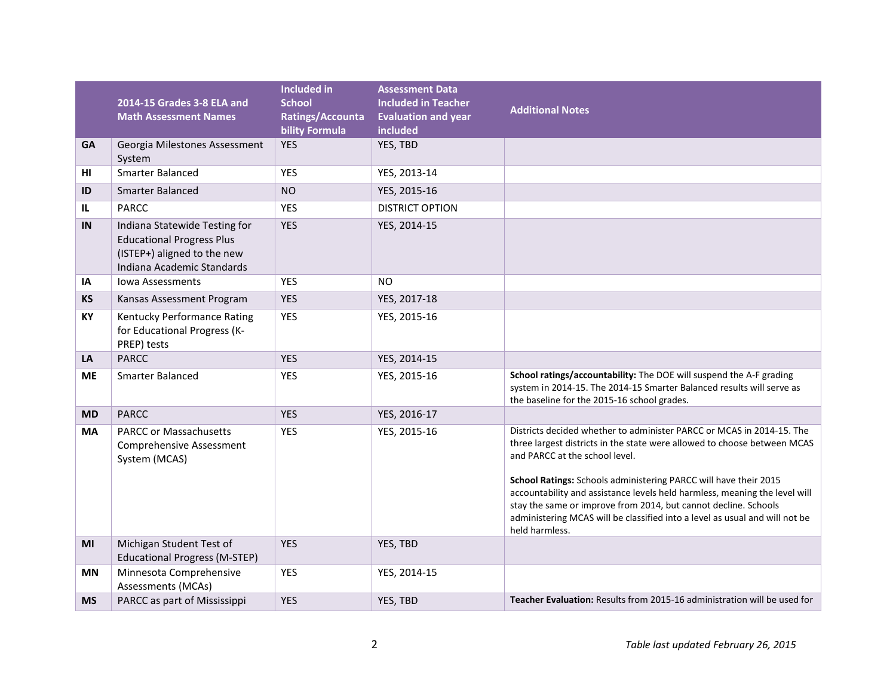|           | 2014-15 Grades 3-8 ELA and<br><b>Math Assessment Names</b>                                                                     | <b>Included in</b><br><b>School</b><br>Ratings/Accounta<br><b>bility Formula</b> | <b>Assessment Data</b><br><b>Included in Teacher</b><br><b>Evaluation and year</b><br>included | <b>Additional Notes</b>                                                                                                                                                                                                                                                                                                                                                                                                                                                                                   |
|-----------|--------------------------------------------------------------------------------------------------------------------------------|----------------------------------------------------------------------------------|------------------------------------------------------------------------------------------------|-----------------------------------------------------------------------------------------------------------------------------------------------------------------------------------------------------------------------------------------------------------------------------------------------------------------------------------------------------------------------------------------------------------------------------------------------------------------------------------------------------------|
| <b>GA</b> | Georgia Milestones Assessment<br>System                                                                                        | <b>YES</b>                                                                       | YES, TBD                                                                                       |                                                                                                                                                                                                                                                                                                                                                                                                                                                                                                           |
| HI        | Smarter Balanced                                                                                                               | <b>YES</b>                                                                       | YES, 2013-14                                                                                   |                                                                                                                                                                                                                                                                                                                                                                                                                                                                                                           |
| ID        | <b>Smarter Balanced</b>                                                                                                        | <b>NO</b>                                                                        | YES, 2015-16                                                                                   |                                                                                                                                                                                                                                                                                                                                                                                                                                                                                                           |
| IL        | <b>PARCC</b>                                                                                                                   | YES                                                                              | <b>DISTRICT OPTION</b>                                                                         |                                                                                                                                                                                                                                                                                                                                                                                                                                                                                                           |
| IN        | Indiana Statewide Testing for<br><b>Educational Progress Plus</b><br>(ISTEP+) aligned to the new<br>Indiana Academic Standards | <b>YES</b>                                                                       | YES, 2014-15                                                                                   |                                                                                                                                                                                                                                                                                                                                                                                                                                                                                                           |
| IA        | <b>Jowa Assessments</b>                                                                                                        | <b>YES</b>                                                                       | <b>NO</b>                                                                                      |                                                                                                                                                                                                                                                                                                                                                                                                                                                                                                           |
| <b>KS</b> | Kansas Assessment Program                                                                                                      | <b>YES</b>                                                                       | YES, 2017-18                                                                                   |                                                                                                                                                                                                                                                                                                                                                                                                                                                                                                           |
| KY        | Kentucky Performance Rating<br>for Educational Progress (K-<br>PREP) tests                                                     | <b>YES</b>                                                                       | YES, 2015-16                                                                                   |                                                                                                                                                                                                                                                                                                                                                                                                                                                                                                           |
| LA        | <b>PARCC</b>                                                                                                                   | <b>YES</b>                                                                       | YES, 2014-15                                                                                   |                                                                                                                                                                                                                                                                                                                                                                                                                                                                                                           |
| <b>ME</b> | <b>Smarter Balanced</b>                                                                                                        | <b>YES</b>                                                                       | YES, 2015-16                                                                                   | School ratings/accountability: The DOE will suspend the A-F grading<br>system in 2014-15. The 2014-15 Smarter Balanced results will serve as<br>the baseline for the 2015-16 school grades.                                                                                                                                                                                                                                                                                                               |
| <b>MD</b> | <b>PARCC</b>                                                                                                                   | <b>YES</b>                                                                       | YES, 2016-17                                                                                   |                                                                                                                                                                                                                                                                                                                                                                                                                                                                                                           |
| <b>MA</b> | <b>PARCC or Massachusetts</b><br><b>Comprehensive Assessment</b><br>System (MCAS)                                              | <b>YES</b>                                                                       | YES, 2015-16                                                                                   | Districts decided whether to administer PARCC or MCAS in 2014-15. The<br>three largest districts in the state were allowed to choose between MCAS<br>and PARCC at the school level.<br>School Ratings: Schools administering PARCC will have their 2015<br>accountability and assistance levels held harmless, meaning the level will<br>stay the same or improve from 2014, but cannot decline. Schools<br>administering MCAS will be classified into a level as usual and will not be<br>held harmless. |
| MI        | Michigan Student Test of<br><b>Educational Progress (M-STEP)</b>                                                               | <b>YES</b>                                                                       | YES, TBD                                                                                       |                                                                                                                                                                                                                                                                                                                                                                                                                                                                                                           |
| <b>MN</b> | Minnesota Comprehensive<br>Assessments (MCAs)                                                                                  | <b>YES</b>                                                                       | YES, 2014-15                                                                                   |                                                                                                                                                                                                                                                                                                                                                                                                                                                                                                           |
| <b>MS</b> | PARCC as part of Mississippi                                                                                                   | <b>YES</b>                                                                       | YES, TBD                                                                                       | Teacher Evaluation: Results from 2015-16 administration will be used for                                                                                                                                                                                                                                                                                                                                                                                                                                  |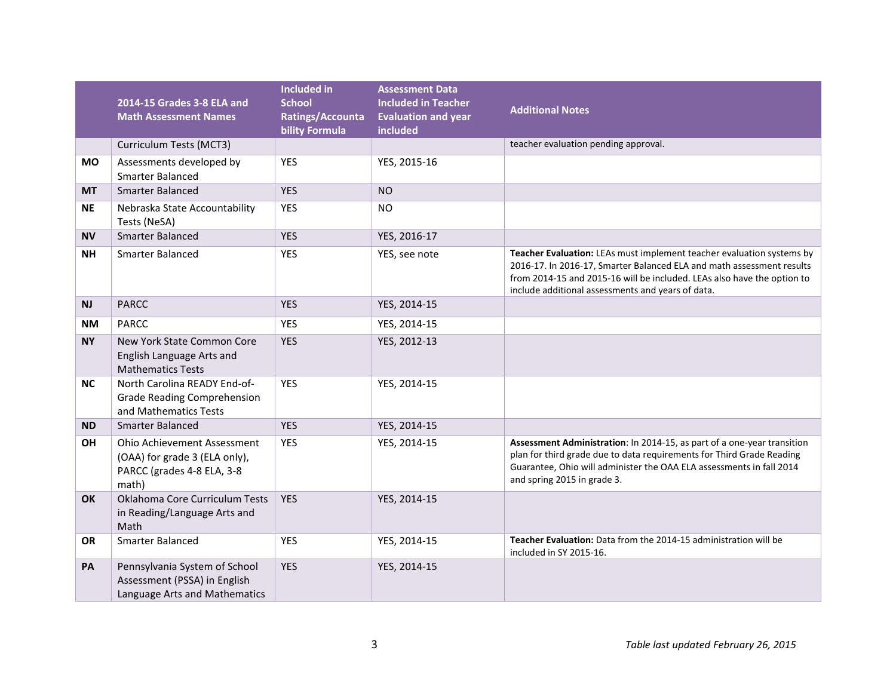|           | 2014-15 Grades 3-8 ELA and<br><b>Math Assessment Names</b>                                                 | <b>Included in</b><br><b>School</b><br>Ratings/Accounta<br><b>bility Formula</b> | <b>Assessment Data</b><br><b>Included in Teacher</b><br><b>Evaluation and year</b><br>included | <b>Additional Notes</b>                                                                                                                                                                                                                                                        |
|-----------|------------------------------------------------------------------------------------------------------------|----------------------------------------------------------------------------------|------------------------------------------------------------------------------------------------|--------------------------------------------------------------------------------------------------------------------------------------------------------------------------------------------------------------------------------------------------------------------------------|
|           | Curriculum Tests (MCT3)                                                                                    |                                                                                  |                                                                                                | teacher evaluation pending approval.                                                                                                                                                                                                                                           |
| МO        | Assessments developed by<br>Smarter Balanced                                                               | <b>YES</b>                                                                       | YES, 2015-16                                                                                   |                                                                                                                                                                                                                                                                                |
| <b>MT</b> | <b>Smarter Balanced</b>                                                                                    | <b>YES</b>                                                                       | <b>NO</b>                                                                                      |                                                                                                                                                                                                                                                                                |
| <b>NE</b> | Nebraska State Accountability<br>Tests (NeSA)                                                              | <b>YES</b>                                                                       | <b>NO</b>                                                                                      |                                                                                                                                                                                                                                                                                |
| <b>NV</b> | Smarter Balanced                                                                                           | <b>YES</b>                                                                       | YES, 2016-17                                                                                   |                                                                                                                                                                                                                                                                                |
| <b>NH</b> | <b>Smarter Balanced</b>                                                                                    | <b>YES</b>                                                                       | YES, see note                                                                                  | Teacher Evaluation: LEAs must implement teacher evaluation systems by<br>2016-17. In 2016-17, Smarter Balanced ELA and math assessment results<br>from 2014-15 and 2015-16 will be included. LEAs also have the option to<br>include additional assessments and years of data. |
| <b>NJ</b> | <b>PARCC</b>                                                                                               | <b>YES</b>                                                                       | YES, 2014-15                                                                                   |                                                                                                                                                                                                                                                                                |
| ΝM        | <b>PARCC</b>                                                                                               | <b>YES</b>                                                                       | YES, 2014-15                                                                                   |                                                                                                                                                                                                                                                                                |
| <b>NY</b> | New York State Common Core<br>English Language Arts and<br><b>Mathematics Tests</b>                        | <b>YES</b>                                                                       | YES, 2012-13                                                                                   |                                                                                                                                                                                                                                                                                |
| <b>NC</b> | North Carolina READY End-of-<br><b>Grade Reading Comprehension</b><br>and Mathematics Tests                | <b>YES</b>                                                                       | YES, 2014-15                                                                                   |                                                                                                                                                                                                                                                                                |
| <b>ND</b> | <b>Smarter Balanced</b>                                                                                    | <b>YES</b>                                                                       | YES, 2014-15                                                                                   |                                                                                                                                                                                                                                                                                |
| ΟH        | <b>Ohio Achievement Assessment</b><br>(OAA) for grade 3 (ELA only),<br>PARCC (grades 4-8 ELA, 3-8<br>math) | YES                                                                              | YES, 2014-15                                                                                   | Assessment Administration: In 2014-15, as part of a one-year transition<br>plan for third grade due to data requirements for Third Grade Reading<br>Guarantee, Ohio will administer the OAA ELA assessments in fall 2014<br>and spring 2015 in grade 3.                        |
| <b>OK</b> | Oklahoma Core Curriculum Tests<br>in Reading/Language Arts and<br>Math                                     | <b>YES</b>                                                                       | YES, 2014-15                                                                                   |                                                                                                                                                                                                                                                                                |
| <b>OR</b> | <b>Smarter Balanced</b>                                                                                    | <b>YES</b>                                                                       | YES, 2014-15                                                                                   | Teacher Evaluation: Data from the 2014-15 administration will be<br>included in SY 2015-16.                                                                                                                                                                                    |
| <b>PA</b> | Pennsylvania System of School<br>Assessment (PSSA) in English<br>Language Arts and Mathematics             | <b>YES</b>                                                                       | YES, 2014-15                                                                                   |                                                                                                                                                                                                                                                                                |